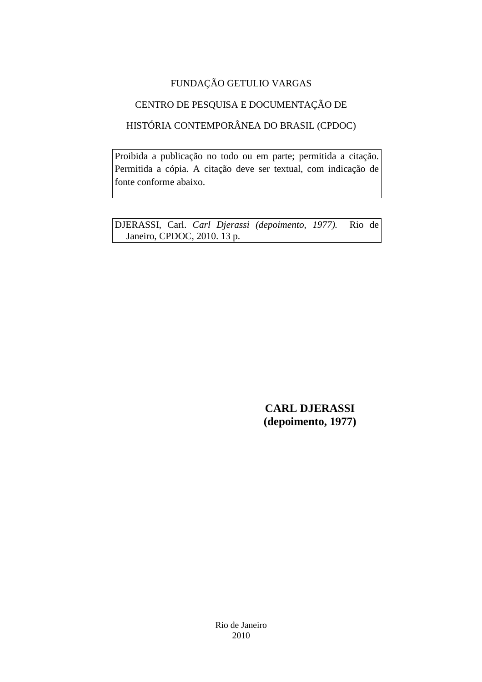## FUNDAÇÃO GETULIO VARGAS

# CENTRO DE PESQUISA E DOCUMENTAÇÃO DE

# HISTÓRIA CONTEMPORÂNEA DO BRASIL (CPDOC)

Proibida a publicação no todo ou em parte; permitida a citação. Permitida a cópia. A citação deve ser textual, com indicação de fonte conforme abaixo.

DJERASSI, Carl. *Carl Djerassi (depoimento, 1977).* Rio de Janeiro, CPDOC, 2010. 13 p.

> **CARL DJERASSI (depoimento, 1977)**

Rio de Janeiro 2010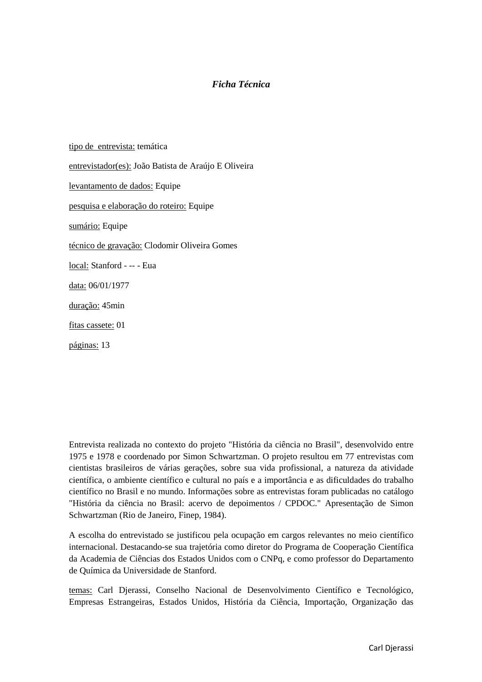#### *Ficha Técnica*

tipo de entrevista: temática entrevistador(es): João Batista de Araújo E Oliveira levantamento de dados: Equipe pesquisa e elaboração do roteiro: Equipe sumário: Equipe técnico de gravação: Clodomir Oliveira Gomes local: Stanford - -- - Eua data: 06/01/1977 duração: 45min fitas cassete: 01 páginas: 13

Entrevista realizada no contexto do projeto "História da ciência no Brasil", desenvolvido entre 1975 e 1978 e coordenado por Simon Schwartzman. O projeto resultou em 77 entrevistas com cientistas brasileiros de várias gerações, sobre sua vida profissional, a natureza da atividade científica, o ambiente científico e cultural no país e a importância e as dificuldades do trabalho científico no Brasil e no mundo. Informações sobre as entrevistas foram publicadas no catálogo "História da ciência no Brasil: acervo de depoimentos / CPDOC." Apresentação de Simon Schwartzman (Rio de Janeiro, Finep, 1984).

A escolha do entrevistado se justificou pela ocupação em cargos relevantes no meio científico internacional. Destacando-se sua trajetória como diretor do Programa de Cooperação Científica da Academia de Ciências dos Estados Unidos com o CNPq, e como professor do Departamento de Química da Universidade de Stanford.

temas: Carl Djerassi, Conselho Nacional de Desenvolvimento Científico e Tecnológico, Empresas Estrangeiras, Estados Unidos, História da Ciência, Importação, Organização das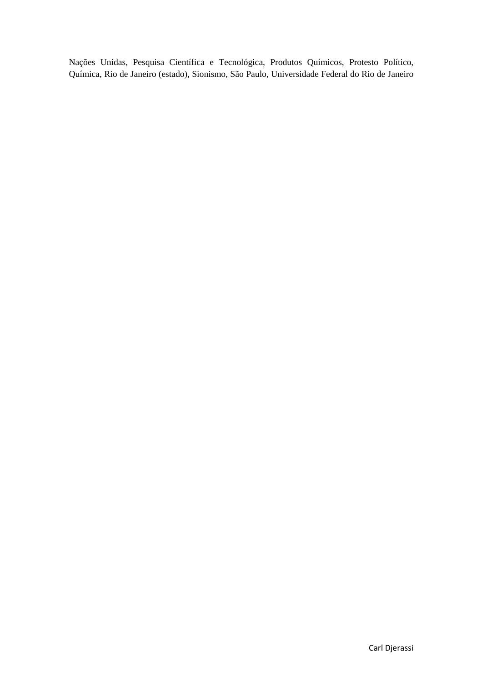Nações Unidas, Pesquisa Científica e Tecnológica, Produtos Químicos, Protesto Político, Química, Rio de Janeiro (estado), Sionismo, São Paulo, Universidade Federal do Rio de Janeiro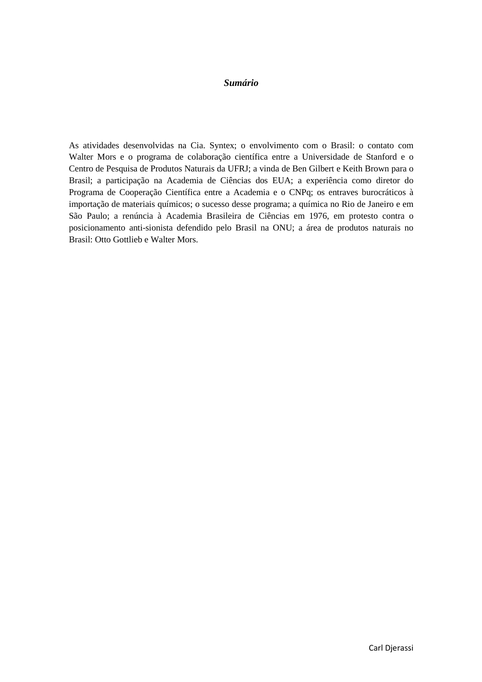#### *Sumário*

As atividades desenvolvidas na Cia. Syntex; o envolvimento com o Brasil: o contato com Walter Mors e o programa de colaboração científica entre a Universidade de Stanford e o Centro de Pesquisa de Produtos Naturais da UFRJ; a vinda de Ben Gilbert e Keith Brown para o Brasil; a participação na Academia de Ciências dos EUA; a experiência como diretor do Programa de Cooperação Científica entre a Academia e o CNPq; os entraves burocráticos à importação de materiais químicos; o sucesso desse programa; a química no Rio de Janeiro e em São Paulo; a renúncia à Academia Brasileira de Ciências em 1976, em protesto contra o posicionamento anti-sionista defendido pelo Brasil na ONU; a área de produtos naturais no Brasil: Otto Gottlieb e Walter Mors.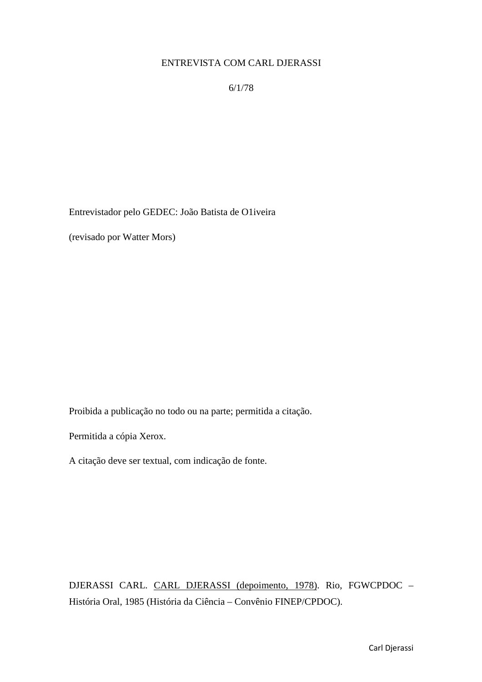### ENTREVISTA COM CARL DJERASSI

6/1/78

Entrevistador pelo GEDEC: João Batista de O1iveira

(revisado por Watter Mors)

Proibida a publicação no todo ou na parte; permitida a citação.

Permitida a cópia Xerox.

A citação deve ser textual, com indicação de fonte.

DJERASSI CARL. CARL DJERASSI (depoimento, 1978). Rio, FGWCPDOC – História Oral, 1985 (História da Ciência – Convênio FINEP/CPDOC).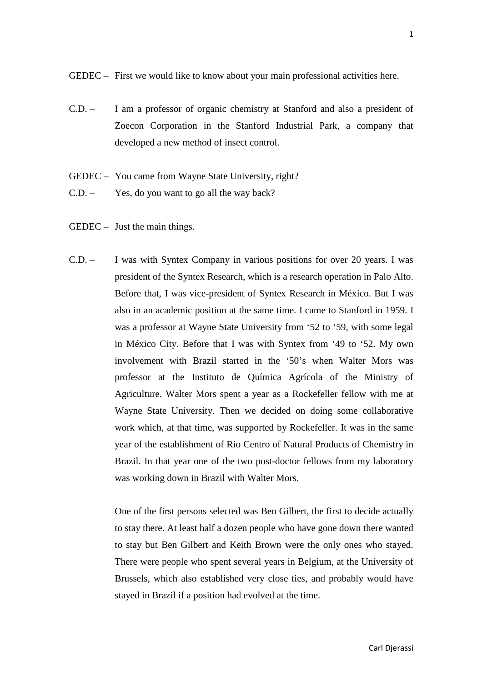GEDEC – First we would like to know about your main professional activities here.

- C.D. I am a professor of organic chemistry at Stanford and also a president of Zoecon Corporation in the Stanford Industrial Park, a company that developed a new method of insect control.
- GEDEC You came from Wayne State University, right?
- C.D. Yes, do you want to go all the way back?
- GEDEC Just the main things.
- C.D. I was with Syntex Company in various positions for over 20 years. I was president of the Syntex Research, which is a research operation in Palo Alto. Before that, I was vice-president of Syntex Research in México. But I was also in an academic position at the same time. I came to Stanford in 1959. I was a professor at Wayne State University from '52 to '59, with some legal in México City. Before that I was with Syntex from '49 to '52. My own involvement with Brazil started in the '50's when Walter Mors was professor at the Instituto de Química Agrícola of the Ministry of Agriculture. Walter Mors spent a year as a Rockefeller fellow with me at Wayne State University. Then we decided on doing some collaborative work which, at that time, was supported by Rockefeller. It was in the same year of the establishment of Rio Centro of Natural Products of Chemistry in Brazil. In that year one of the two post-doctor fellows from my laboratory was working down in Brazil with Walter Mors.

One of the first persons selected was Ben Gilbert, the first to decide actually to stay there. At least half a dozen people who have gone down there wanted to stay but Ben Gilbert and Keith Brown were the only ones who stayed. There were people who spent several years in Belgium, at the University of Brussels, which also established very close ties, and probably would have stayed in Brazil if a position had evolved at the time.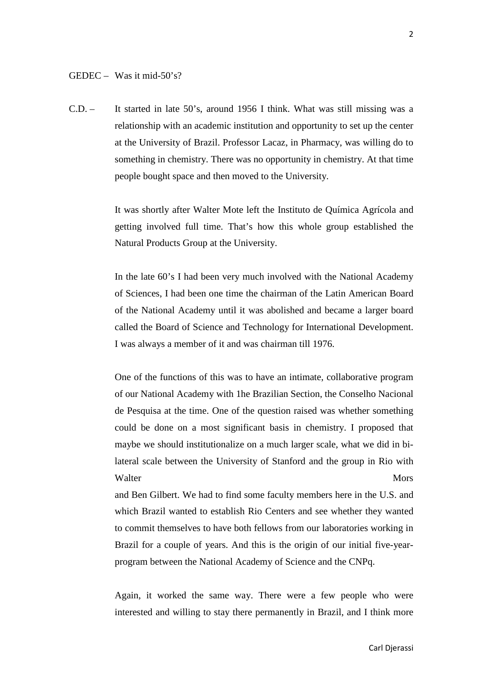C.D. – It started in late 50's, around 1956 I think. What was still missing was a relationship with an academic institution and opportunity to set up the center at the University of Brazil. Professor Lacaz, in Pharmacy, was willing do to something in chemistry. There was no opportunity in chemistry. At that time people bought space and then moved to the University.

> It was shortly after Walter Mote left the Instituto de Química Agrícola and getting involved full time. That's how this whole group established the Natural Products Group at the University.

> In the late 60's I had been very much involved with the National Academy of Sciences, I had been one time the chairman of the Latin American Board of the National Academy until it was abolished and became a larger board called the Board of Science and Technology for International Development. I was always a member of it and was chairman till 1976.

> One of the functions of this was to have an intimate, collaborative program of our National Academy with 1he Brazilian Section, the Conselho Nacional de Pesquisa at the time. One of the question raised was whether something could be done on a most significant basis in chemistry. I proposed that maybe we should institutionalize on a much larger scale, what we did in bilateral scale between the University of Stanford and the group in Rio with Walter Mors

> and Ben Gilbert. We had to find some faculty members here in the U.S. and which Brazil wanted to establish Rio Centers and see whether they wanted to commit themselves to have both fellows from our laboratories working in Brazil for a couple of years. And this is the origin of our initial five-yearprogram between the National Academy of Science and the CNPq.

> Again, it worked the same way. There were a few people who were interested and willing to stay there permanently in Brazil, and I think more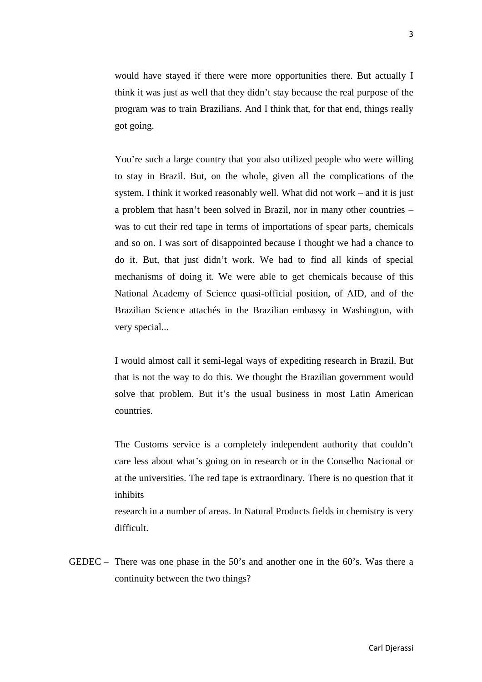would have stayed if there were more opportunities there. But actually I think it was just as well that they didn't stay because the real purpose of the program was to train Brazilians. And I think that, for that end, things really got going.

You're such a large country that you also utilized people who were willing to stay in Brazil. But, on the whole, given all the complications of the system, I think it worked reasonably well. What did not work – and it is just a problem that hasn't been solved in Brazil, nor in many other countries – was to cut their red tape in terms of importations of spear parts, chemicals and so on. I was sort of disappointed because I thought we had a chance to do it. But, that just didn't work. We had to find all kinds of special mechanisms of doing it. We were able to get chemicals because of this National Academy of Science quasi-official position, of AID, and of the Brazilian Science attachés in the Brazilian embassy in Washington, with very special...

I would almost call it semi-legal ways of expediting research in Brazil. But that is not the way to do this. We thought the Brazilian government would solve that problem. But it's the usual business in most Latin American countries.

The Customs service is a completely independent authority that couldn't care less about what's going on in research or in the Conselho Nacional or at the universities. The red tape is extraordinary. There is no question that it inhibits

research in a number of areas. In Natural Products fields in chemistry is very difficult.

GEDEC – There was one phase in the 50's and another one in the 60's. Was there a continuity between the two things?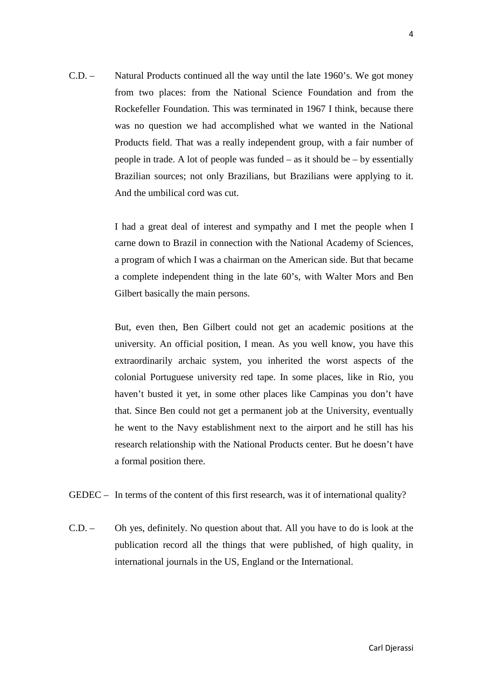C.D. – Natural Products continued all the way until the late 1960's. We got money from two places: from the National Science Foundation and from the Rockefeller Foundation. This was terminated in 1967 I think, because there was no question we had accomplished what we wanted in the National Products field. That was a really independent group, with a fair number of people in trade. A lot of people was funded – as it should be – by essentially Brazilian sources; not only Brazilians, but Brazilians were applying to it. And the umbilical cord was cut.

> I had a great deal of interest and sympathy and I met the people when I carne down to Brazil in connection with the National Academy of Sciences, a program of which I was a chairman on the American side. But that became a complete independent thing in the late 60's, with Walter Mors and Ben Gilbert basically the main persons.

> But, even then, Ben Gilbert could not get an academic positions at the university. An official position, I mean. As you well know, you have this extraordinarily archaic system, you inherited the worst aspects of the colonial Portuguese university red tape. In some places, like in Rio, you haven't busted it yet, in some other places like Campinas you don't have that. Since Ben could not get a permanent job at the University, eventually he went to the Navy establishment next to the airport and he still has his research relationship with the National Products center. But he doesn't have a formal position there.

- GEDEC In terms of the content of this first research, was it of international quality?
- C.D. Oh yes, definitely. No question about that. All you have to do is look at the publication record all the things that were published, of high quality, in international journals in the US, England or the International.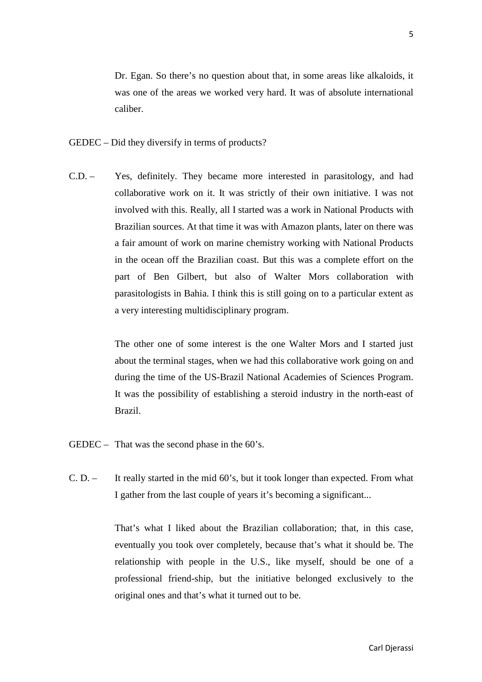Dr. Egan. So there's no question about that, in some areas like alkaloids, it was one of the areas we worked very hard. It was of absolute international caliber.

- GEDEC Did they diversify in terms of products?
- C.D. Yes, definitely. They became more interested in parasitology, and had collaborative work on it. It was strictly of their own initiative. I was not involved with this. Really, all I started was a work in National Products with Brazilian sources. At that time it was with Amazon plants, later on there was a fair amount of work on marine chemistry working with National Products in the ocean off the Brazilian coast. But this was a complete effort on the part of Ben Gilbert, but also of Walter Mors collaboration with parasitologists in Bahia. I think this is still going on to a particular extent as a very interesting multidisciplinary program.

The other one of some interest is the one Walter Mors and I started just about the terminal stages, when we had this collaborative work going on and during the time of the US-Brazil National Academies of Sciences Program. It was the possibility of establishing a steroid industry in the north-east of Brazil.

- $GEDEC$  That was the second phase in the 60's.
- C. D. It really started in the mid 60's, but it took longer than expected. From what I gather from the last couple of years it's becoming a significant...

That's what I liked about the Brazilian collaboration; that, in this case, eventually you took over completely, because that's what it should be. The relationship with people in the U.S., like myself, should be one of a professional friend-ship, but the initiative belonged exclusively to the original ones and that's what it turned out to be.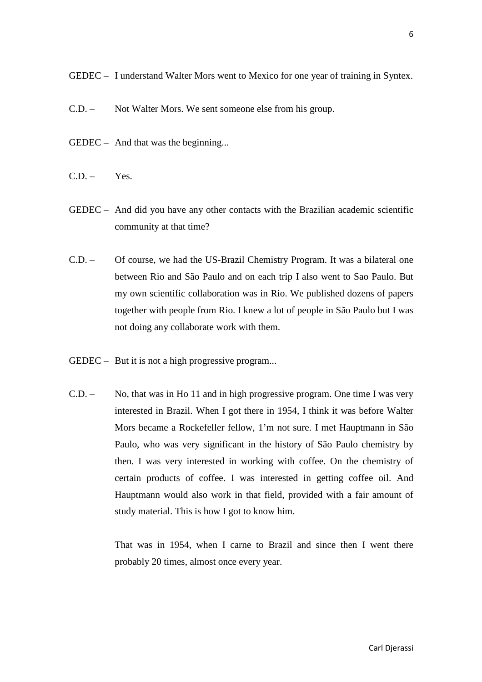GEDEC – I understand Walter Mors went to Mexico for one year of training in Syntex.

- C.D. Not Walter Mors. We sent someone else from his group.
- GEDEC And that was the beginning...
- $CD = Yes$
- GEDEC And did you have any other contacts with the Brazilian academic scientific community at that time?
- C.D. Of course, we had the US-Brazil Chemistry Program. It was a bilateral one between Rio and São Paulo and on each trip I also went to Sao Paulo. But my own scientific collaboration was in Rio. We published dozens of papers together with people from Rio. I knew a lot of people in São Paulo but I was not doing any collaborate work with them.
- GEDEC But it is not a high progressive program...
- C.D. No, that was in Ho 11 and in high progressive program. One time I was very interested in Brazil. When I got there in 1954, I think it was before Walter Mors became a Rockefeller fellow, 1'm not sure. I met Hauptmann in São Paulo, who was very significant in the history of São Paulo chemistry by then. I was very interested in working with coffee. On the chemistry of certain products of coffee. I was interested in getting coffee oil. And Hauptmann would also work in that field, provided with a fair amount of study material. This is how I got to know him.

That was in 1954, when I carne to Brazil and since then I went there probably 20 times, almost once every year.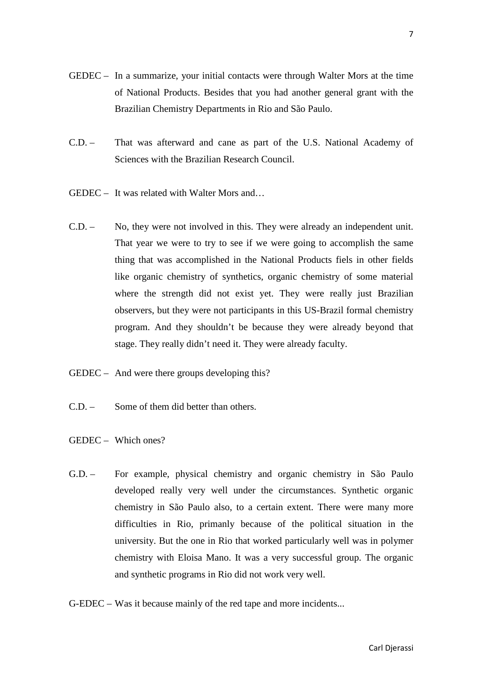- GEDEC In a summarize, your initial contacts were through Walter Mors at the time of National Products. Besides that you had another general grant with the Brazilian Chemistry Departments in Rio and São Paulo.
- C.D. That was afterward and cane as part of the U.S. National Academy of Sciences with the Brazilian Research Council.
- GEDEC It was related with Walter Mors and…
- C.D. No, they were not involved in this. They were already an independent unit. That year we were to try to see if we were going to accomplish the same thing that was accomplished in the National Products fiels in other fields like organic chemistry of synthetics, organic chemistry of some material where the strength did not exist yet. They were really just Brazilian observers, but they were not participants in this US-Brazil formal chemistry program. And they shouldn't be because they were already beyond that stage. They really didn't need it. They were already faculty.
- GEDEC And were there groups developing this?
- C.D. Some of them did better than others.
- GEDEC Which ones?
- G.D. For example, physical chemistry and organic chemistry in São Paulo developed really very well under the circumstances. Synthetic organic chemistry in São Paulo also, to a certain extent. There were many more difficulties in Rio, primanly because of the political situation in the university. But the one in Rio that worked particularly well was in polymer chemistry with Eloisa Mano. It was a very successful group. The organic and synthetic programs in Rio did not work very well.
- G-EDEC Was it because mainly of the red tape and more incidents...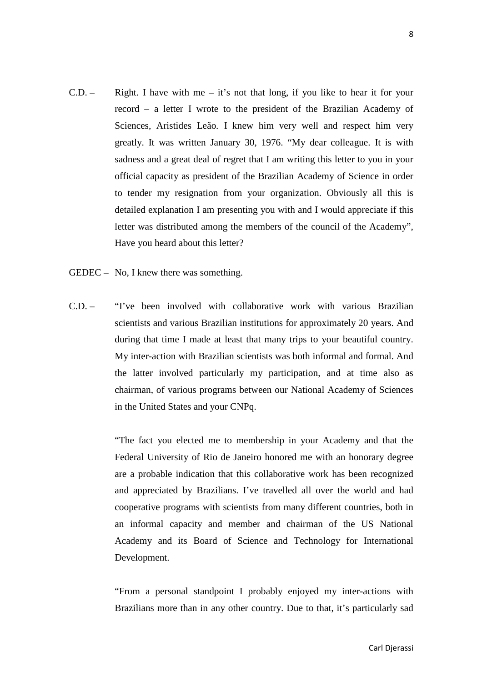- C.D. Right. I have with me it's not that long, if you like to hear it for your record – a letter I wrote to the president of the Brazilian Academy of Sciences, Aristides Leão*.* I knew him very well and respect him very greatly. It was written January 30, 1976. "My dear colleague. It is with sadness and a great deal of regret that I am writing this letter to you in your official capacity as president of the Brazilian Academy of Science in order to tender my resignation from your organization. Obviously all this is detailed explanation I am presenting you with and I would appreciate if this letter was distributed among the members of the council of the Academy", Have you heard about this letter?
- GEDEC No, I knew there was something.
- C.D. "I've been involved with collaborative work with various Brazilian scientists and various Brazilian institutions for approximately 20 years. And during that time I made at least that many trips to your beautiful country. My inter-action with Brazilian scientists was both informal and formal. And the latter involved particularly my participation, and at time also as chairman, of various programs between our National Academy of Sciences in the United States and your CNPq.

"The fact you elected me to membership in your Academy and that the Federal University of Rio de Janeiro honored me with an honorary degree are a probable indication that this collaborative work has been recognized and appreciated by Brazilians. I've travelled all over the world and had cooperative programs with scientists from many different countries, both in an informal capacity and member and chairman of the US National Academy and its Board of Science and Technology for International Development.

"From a personal standpoint I probably enjoyed my inter-actions with Brazilians more than in any other country. Due to that, it's particularly sad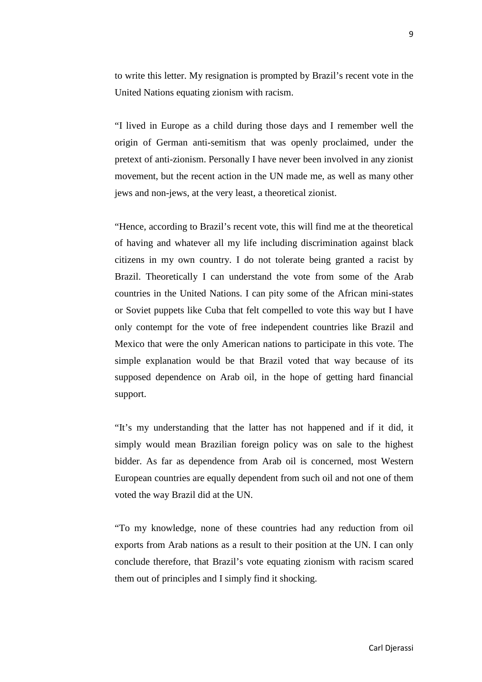to write this letter. My resignation is prompted by Brazil's recent vote in the United Nations equating zionism with racism.

"I lived in Europe as a child during those days and I remember well the origin of German anti-semitism that was openly proclaimed, under the pretext of anti-zionism. Personally I have never been involved in any zionist movement, but the recent action in the UN made me, as well as many other jews and non-jews, at the very least, a theoretical zionist.

"Hence, according to Brazil's recent vote, this will find me at the theoretical of having and whatever all my life including discrimination against black citizens in my own country. I do not tolerate being granted a racist by Brazil. Theoretically I can understand the vote from some of the Arab countries in the United Nations. I can pity some of the African mini-states or Soviet puppets like Cuba that felt compelled to vote this way but I have only contempt for the vote of free independent countries like Brazil and Mexico that were the only American nations to participate in this vote. The simple explanation would be that Brazil voted that way because of its supposed dependence on Arab oil, in the hope of getting hard financial support.

"It's my understanding that the latter has not happened and if it did, it simply would mean Brazilian foreign policy was on sale to the highest bidder. As far as dependence from Arab oil is concerned, most Western European countries are equally dependent from such oil and not one of them voted the way Brazil did at the UN.

"To my knowledge, none of these countries had any reduction from oil exports from Arab nations as a result to their position at the UN. I can only conclude therefore, that Brazil's vote equating zionism with racism scared them out of principles and I simply find it shocking.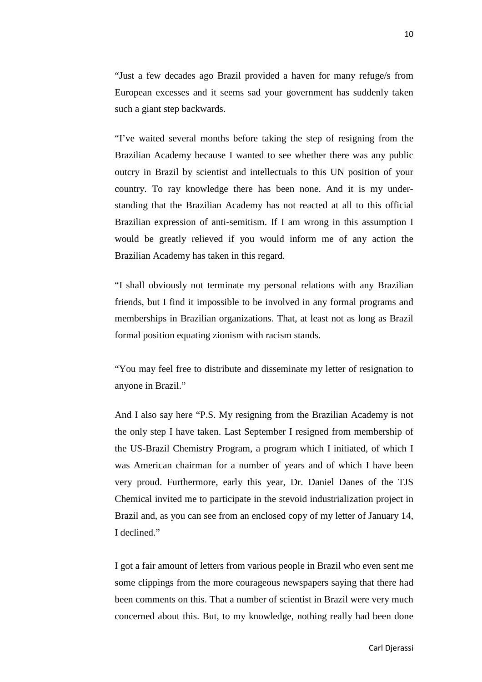"Just a few decades ago Brazil provided a haven for many refuge/s from European excesses and it seems sad your government has suddenly taken such a giant step backwards.

"I've waited several months before taking the step of resigning from the Brazilian Academy because I wanted to see whether there was any public outcry in Brazil by scientist and intellectuals to this UN position of your country. To ray knowledge there has been none. And it is my understanding that the Brazilian Academy has not reacted at all to this official Brazilian expression of anti-semitism. If I am wrong in this assumption I would be greatly relieved if you would inform me of any action the Brazilian Academy has taken in this regard.

"I shall obviously not terminate my personal relations with any Brazilian friends, but I find it impossible to be involved in any formal programs and memberships in Brazilian organizations. That, at least not as long as Brazil formal position equating zionism with racism stands.

"You may feel free to distribute and disseminate my letter of resignation to anyone in Brazil."

And I also say here "P.S. My resigning from the Brazilian Academy is not the only step I have taken. Last September I resigned from membership of the US-Brazil Chemistry Program, a program which I initiated, of which I was American chairman for a number of years and of which I have been very proud. Furthermore, early this year, Dr. Daniel Danes of the TJS Chemical invited me to participate in the stevoid industrialization project in Brazil and, as you can see from an enclosed copy of my letter of January 14, I declined."

I got a fair amount of letters from various people in Brazil who even sent me some clippings from the more courageous newspapers saying that there had been comments on this. That a number of scientist in Brazil were very much concerned about this. But, to my knowledge, nothing really had been done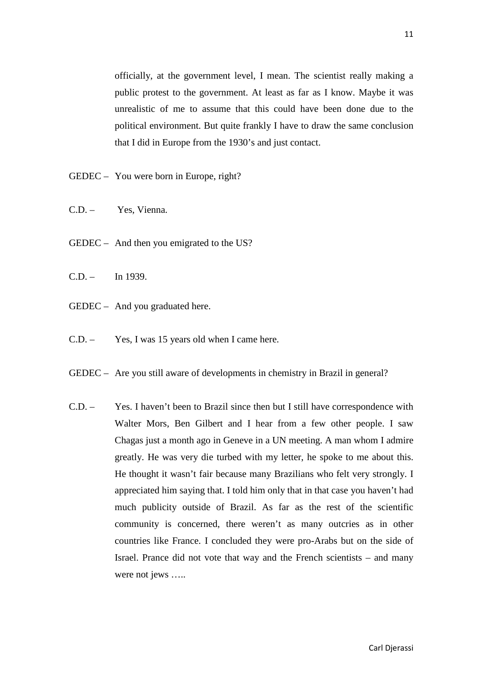officially, at the government level, I mean. The scientist really making a public protest to the government. At least as far as I know. Maybe it was unrealistic of me to assume that this could have been done due to the political environment. But quite frankly I have to draw the same conclusion that I did in Europe from the 1930's and just contact.

- GEDEC You were born in Europe, right?
- C.D. Yes, Vienna.
- GEDEC And then you emigrated to the US?
- $C.D. -$  In 1939.
- GEDEC And you graduated here.
- C.D. Yes, I was 15 years old when I came here.
- GEDEC Are you still aware of developments in chemistry in Brazil in general?
- C.D. Yes. I haven't been to Brazil since then but I still have correspondence with Walter Mors, Ben Gilbert and I hear from a few other people. I saw Chagas just a month ago in Geneve in a UN meeting. A man whom I admire greatly. He was very die turbed with my letter, he spoke to me about this. He thought it wasn't fair because many Brazilians who felt very strongly. I appreciated him saying that. I told him only that in that case you haven't had much publicity outside of Brazil. As far as the rest of the scientific community is concerned, there weren't as many outcries as in other countries like France. I concluded they were pro-Arabs but on the side of Israel. Prance did not vote that way and the French scientists – and many were not jews .....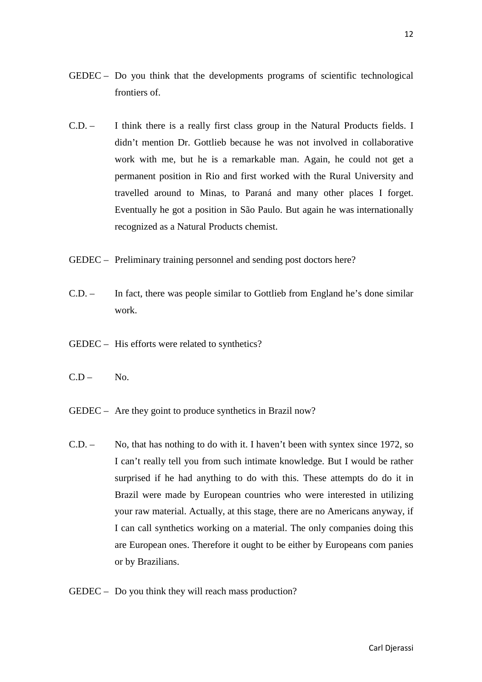- GEDEC Do you think that the developments programs of scientific technological frontiers of.
- C.D. I think there is a really first class group in the Natural Products fields. I didn't mention Dr. Gottlieb because he was not involved in collaborative work with me, but he is a remarkable man. Again, he could not get a permanent position in Rio and first worked with the Rural University and travelled around to Minas, to Paraná and many other places I forget. Eventually he got a position in São Paulo. But again he was internationally recognized as a Natural Products chemist.
- GEDEC Preliminary training personnel and sending post doctors here?
- C.D. In fact, there was people similar to Gottlieb from England he's done similar work.
- GEDEC His efforts were related to synthetics?
- $C.D No.$
- GEDEC Are they goint to produce synthetics in Brazil now?
- C.D. No, that has nothing to do with it. I haven't been with syntex since 1972, so I can't really tell you from such intimate knowledge. But I would be rather surprised if he had anything to do with this. These attempts do do it in Brazil were made by European countries who were interested in utilizing your raw material. Actually, at this stage, there are no Americans anyway, if I can call synthetics working on a material. The only companies doing this are European ones. Therefore it ought to be either by Europeans com panies or by Brazilians.
- GEDEC Do you think they will reach mass production?